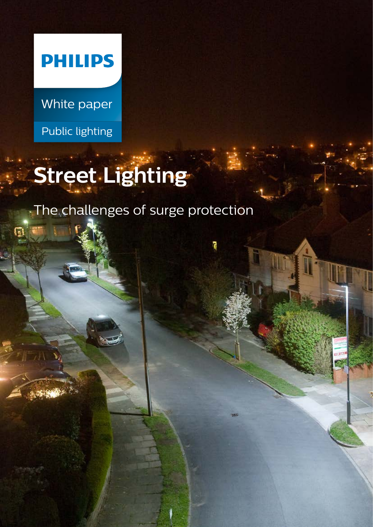

White paper

Public lighting

## **Street Lighting**

The challenges of surge protection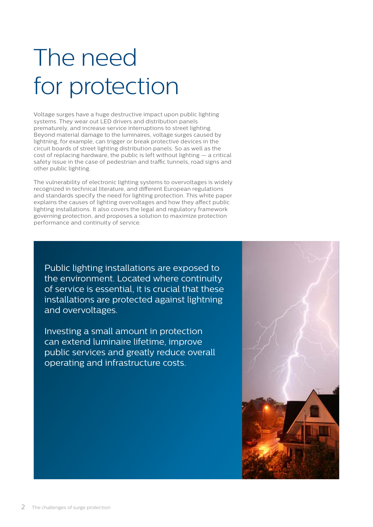### for protection Voltage surges have a huge destructive impact upon public lighting

The need

systems. They wear out LED drivers and distribution panels prematurely, and increase service interruptions to street lighting. Beyond material damage to the luminaires, voltage surges caused by lightning, for example, can trigger or break protective devices in the circuit boards of street lighting distribution panels. So as well as the cost of replacing hardware, the public is left without lighting — a critical safety issue in the case of pedestrian and traffic tunnels, road signs and other public lighting.

The vulnerability of electronic lighting systems to overvoltages is widely recognized in technical literature, and different European regulations and standards specify the need for lighting protection. This white paper explains the causes of lighting overvoltages and how they affect public lighting installations. It also covers the legal and regulatory framework governing protection, and proposes a solution to maximize protection performance and continuity of service.

Public lighting installations are exposed to the environment. Located where continuity of service is essential, it is crucial that these installations are protected against lightning and overvoltages.

Investing a small amount in protection can extend luminaire lifetime, improve public services and greatly reduce overall operating and infrastructure costs.

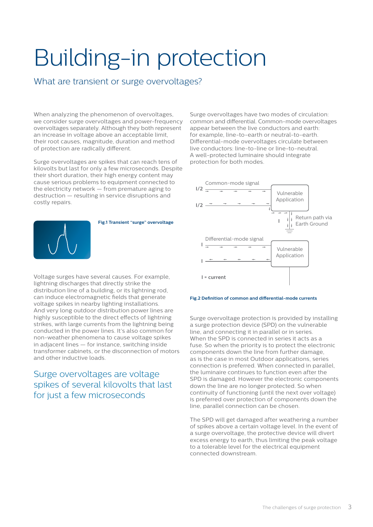# Building-in protection

#### What are transient or surge overvoltages?

When analyzing the phenomenon of overvoltages we consider surge overvoltages and power-frequency overvoltages separately. Although they both represent an increase in voltage above an acceptable limit, their root causes, magnitude, duration and method of protection are radically different.

Surge overvoltages are spikes that can reach tens of kilovolts but last for only a few microseconds. Despite their short duration, their high energy content may cause serious problems to equipment connected to the electricity network — from premature aging to destruction — resulting in service disruptions and costly repairs.



**Fig.1 Transient "surge" overvoltage**

Surge overvoltages have two modes of circulation: common and differential. Common-mode overvoltages appear between the live conductors and earth: for example, line-to-earth or neutral-to-earth. Differential-mode overvoltages circulate between live conductors: line-to-line or line-to-neutral. A well-protected luminaire should integrate protection for both modes.



**Fig.2 Definition of common and differential-mode currents**

Surge overvoltage protection is provided by installing a surge protection device (SPD) on the vulnerable line, and connecting it in parallel or in series. When the SPD is connected in series it acts as a fuse. So when the priority is to protect the electronic components down the line from further damage, as is the case in most Outdoor applications, series connection is preferred. When connected in parallel, the luminaire continues to function even after the SPD is damaged. However the electronic components down the line are no longer protected. So when continuity of functioning (until the next over voltage) is preferred over protection of components down the line, parallel connection can be chosen.

The SPD will get damaged after weathering a number of spikes above a certain voltage level. In the event of a surge overvoltage, the protective device will divert excess energy to earth, thus limiting the peak voltage to a tolerable level for the electrical equipment connected downstream.

Voltage surges have several causes. For example, lightning discharges that directly strike the distribution line of a building, or its lightning rod, can induce electromagnetic fields that generate voltage spikes in nearby lighting installations. And very long outdoor distribution power lines are highly susceptible to the direct effects of lightning strikes, with large currents from the lightning being conducted in the power lines. It's also common for non-weather phenomena to cause voltage spikes in adjacent lines — for instance, switching inside transformer cabinets, or the disconnection of motors and other inductive loads.

### Surge overvoltages are voltage spikes of several kilovolts that last for just a few microseconds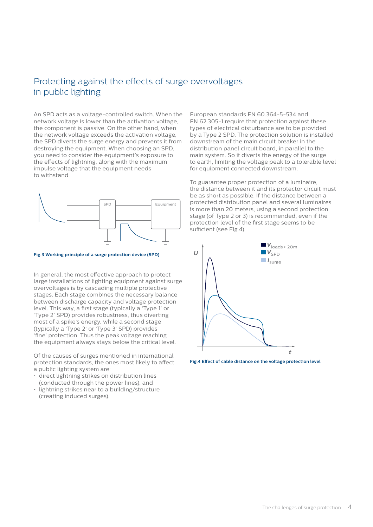### Protecting against the effects of surge overvoltages in public lighting

An SPD acts as a voltage-controlled switch. When the network voltage is lower than the activation voltage, the component is passive. On the other hand, when the network voltage exceeds the activation voltage, the SPD diverts the surge energy and prevents it from destroying the equipment. When choosing an SPD, you need to consider the equipment's exposure to the effects of lightning, along with the maximum impulse voltage that the equipment needs to withstand.



**Fig.3 Working principle of a surge protection device (SPD)**

In general, the most effective approach to protect large installations of lighting equipment against surge overvoltages is by cascading multiple protective stages. Each stage combines the necessary balance between discharge capacity and voltage protection level. This way, a first stage (typically a 'Type 1' or 'Type 2' SPD) provides robustness, thus diverting most of a spike's energy, while a second stage (typically a 'Type 2' or 'Type 3' SPD) provides 'fine' protection. Thus the peak voltage reaching the equipment always stays below the critical level.

Of the causes of surges mentioned in international protection standards, the ones most likely to affect a public lighting system are:

- direct lightning strikes on distribution lines (conducted through the power lines), and
- lightning strikes near to a building/structure (creating induced surges).

European standards EN 60.364-5-534 and EN 62.305-1 require that protection against these types of electrical disturbance are to be provided by a Type 2 SPD. The protection solution is installed downstream of the main circuit breaker in the distribution panel circuit board, in parallel to the main system. So it diverts the energy of the surge to earth, limiting the voltage peak to a tolerable level for equipment connected downstream.

To guarantee proper protection of a luminaire, the distance between it and its protector circuit must be as short as possible. If the distance between a protected distribution panel and several luminaires is more than 20 meters, using a second protection stage (of Type 2 or 3) is recommended, even if the protection level of the first stage seems to be sufficient (see Fig.4).



**Fig.4 Effect of cable distance on the voltage protection level**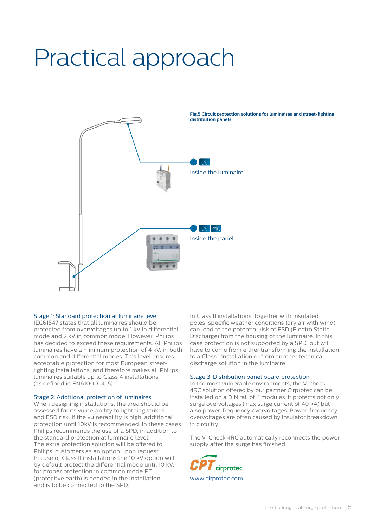## Practical approach



Stage 1: Standard protection at luminaire level

IEC61547 states that all luminaires should be protected from overvoltages up to 1 kV in differential mode and 2 kV in common mode. However, Philips has decided to exceed these requirements. All Philips luminaires have a minimum protection of 4 kV, in both common and differential modes. This level ensures acceptable protection for most European streetlighting installations, and therefore makes all Philips luminaires suitable up to Class 4 installations (as defined in EN61000-4-5).

#### Stage 2: Additional protection of luminaires

When designing installations, the area should be assessed for its vulnerability to lightning strikes and ESD risk. If the vulnerability is high, additional protection until 10kV is recommended. In these cases, Philips recommends the use of a SPD, in addition to the standard protection at luminaire level. The extra protection solution will be offered to Philips' customers as an option upon request. In case of Class II installations the 10 kV option will by default protect the differential mode until 10 kV; for proper protection in common mode PE (protective earth) is needed in the installation and is to be connected to the SPD.

In Class II installations, together with insulated poles, specific weather conditions (dry air with wind) can lead to the potential risk of ESD (Electro Static Discharge) from the housing of the luminaire. In this case protection is not supported by a SPD, but will have to come from either transforming the installation to a Class I installation or from another technical discharge solution in the luminaire.

#### Stage 3: Distribution panel board protection

In the most vulnerable environments, the V-check 4RC solution offered by our partner Cirprotec can be installed on a DIN rail of 4 modules. It protects not only surge overvoltages (max surge current of 40 kA) but also power-frequency overvoltages. Power-frequency overvoltages are often caused by insulator breakdown in circuitry.

The V-Check 4RC automatically reconnects the power supply after the surge has finished.



www.cirprotec.com